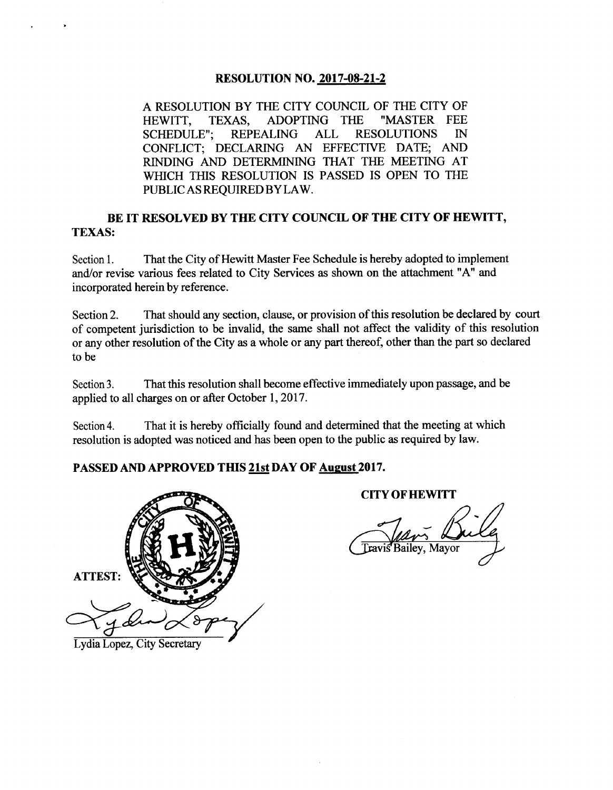### **RESOLUTION NO. 2017-08-21-2**

A RESOLUTION BY THE CITY COUNCIL OF THE CITY OF HEWITT, TEXAS, ADOPTING THE "MASTER FEE SCHEDULE"; REPEALING ALL RESOLUTIONS IN CONFLICT; DECLARING AN EFFECTIVE DATE; AND RINDING AND DETERMINING THAT THE MEETING AT WHICH THIS RESOLUTION IS PASSED IS OPEN TO THE PUBLIC AS REQUIRED BYLAW.

### BE IT RESOLVED BY THE CITY COUNCIL OF THE CITY OF HEWITT, TEXAS:

Section 1. That the City of Hewitt Master Fee Schedule is hereby adopted to implement and/or revise various fees related to City Services as shown on the attachment " A" and incorporated herein by reference.

Section 2. That should any section, clause, or provision of this resolution be declared by court of competent jurisdiction to be invalid, the same shall not affect the validity of this resolution or any other resolution of the City as a whole or any part thereof, other than the part so declared to be

Section 3. That this resolution shall become effective immediately upon passage, and be applied to all charges on or after October 1, 2017.

Section 4. That it is hereby officially found and determined that the meeting at which resolution is adopted was noticed and has been open to the public as required by law.

### PASSED AND APPROVED THIS 21st DAY OF August 2017.



Lydia Lopez, City Secretary

**CITY OF HEWITT** 

CITY OF HEWITT<br>The Chair Bully  $\mathscr O$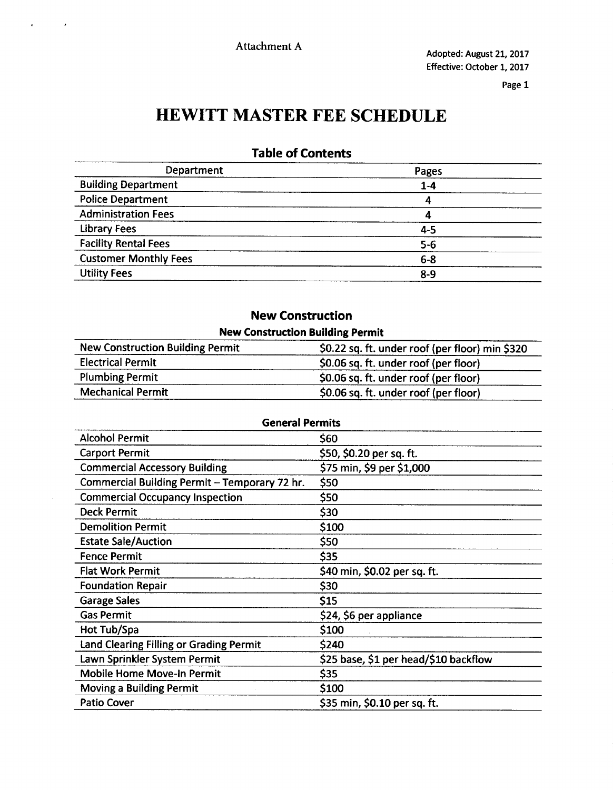# HEWITT MASTER FEE SCHEDULE

## Table of Contents

| Department                   | Pages   |  |
|------------------------------|---------|--|
| <b>Building Department</b>   | $1 - 4$ |  |
| <b>Police Department</b>     | 4       |  |
| <b>Administration Fees</b>   | 4       |  |
| <b>Library Fees</b>          | $4 - 5$ |  |
| <b>Facility Rental Fees</b>  | $5-6$   |  |
| <b>Customer Monthly Fees</b> | $6-8$   |  |
| <b>Utility Fees</b>          | $8 - 9$ |  |

## New Construction

| <b>New Construction Building Permit</b> |                                                 |
|-----------------------------------------|-------------------------------------------------|
| <b>New Construction Building Permit</b> | \$0.22 sq. ft. under roof (per floor) min \$320 |
| <b>Electrical Permit</b>                | \$0.06 sq. ft. under roof (per floor)           |
| <b>Plumbing Permit</b>                  | \$0.06 sq. ft. under roof (per floor)           |
| <b>Mechanical Permit</b>                | \$0.06 sq. ft. under roof (per floor)           |

| <b>General Permits</b>                        |                                       |  |
|-----------------------------------------------|---------------------------------------|--|
| <b>Alcohol Permit</b>                         | \$60                                  |  |
| <b>Carport Permit</b>                         | \$50, \$0.20 per sq. ft.              |  |
| <b>Commercial Accessory Building</b>          | \$75 min, \$9 per \$1,000             |  |
| Commercial Building Permit - Temporary 72 hr. | \$50                                  |  |
| <b>Commercial Occupancy Inspection</b>        | \$50                                  |  |
| <b>Deck Permit</b>                            | \$30                                  |  |
| <b>Demolition Permit</b>                      | \$100                                 |  |
| <b>Estate Sale/Auction</b>                    | \$50                                  |  |
| <b>Fence Permit</b>                           | \$35                                  |  |
| <b>Flat Work Permit</b>                       | \$40 min, \$0.02 per sq. ft.          |  |
| <b>Foundation Repair</b>                      | \$30                                  |  |
| <b>Garage Sales</b>                           | \$15                                  |  |
| <b>Gas Permit</b>                             | \$24, \$6 per appliance               |  |
| Hot Tub/Spa                                   | \$100                                 |  |
| Land Clearing Filling or Grading Permit       | \$240                                 |  |
| Lawn Sprinkler System Permit                  | \$25 base, \$1 per head/\$10 backflow |  |
| <b>Mobile Home Move-In Permit</b>             | \$35                                  |  |
| <b>Moving a Building Permit</b>               | \$100                                 |  |
| <b>Patio Cover</b>                            | \$35 min, \$0.10 per sq. ft.          |  |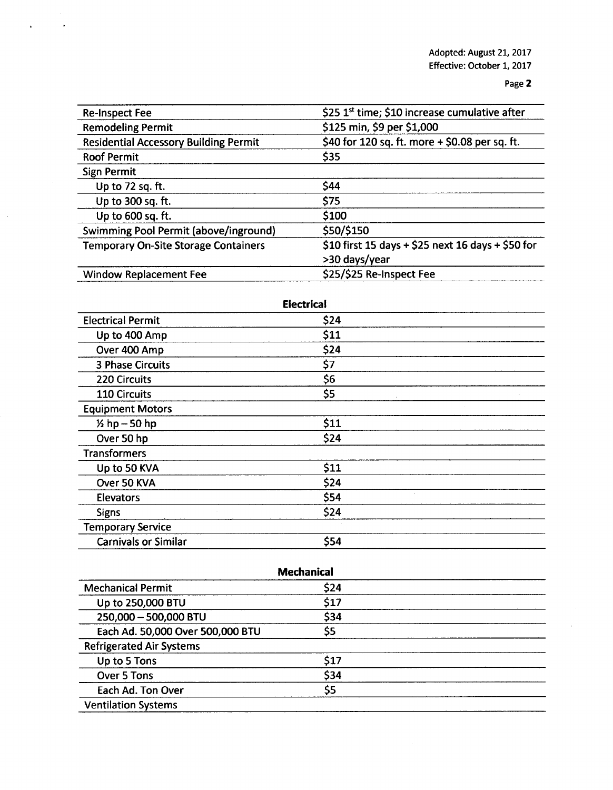| <b>Re-Inspect Fee</b>                        | \$25 1 <sup>st</sup> time; \$10 increase cumulative after |
|----------------------------------------------|-----------------------------------------------------------|
| <b>Remodeling Permit</b>                     | \$125 min, \$9 per \$1,000                                |
| <b>Residential Accessory Building Permit</b> | \$40 for 120 sq. ft. more + \$0.08 per sq. ft.            |
| <b>Roof Permit</b>                           | \$35                                                      |
| <b>Sign Permit</b>                           |                                                           |
| Up to 72 sq. ft.                             | \$44                                                      |
| Up to 300 sq. ft.                            | \$75                                                      |
| Up to 600 sq. ft.                            | \$100                                                     |
| Swimming Pool Permit (above/inground)        | \$50/\$150                                                |
| <b>Temporary On-Site Storage Containers</b>  | \$10 first 15 days + \$25 next 16 days + \$50 for         |
|                                              | >30 days/year                                             |
| <b>Window Replacement Fee</b>                | \$25/\$25 Re-Inspect Fee                                  |

| <b>Electrical</b>           |      |  |
|-----------------------------|------|--|
| <b>Electrical Permit</b>    | \$24 |  |
| Up to 400 Amp               | \$11 |  |
| Over 400 Amp                | \$24 |  |
| 3 Phase Circuits            | \$7  |  |
| 220 Circuits                | \$6  |  |
| 110 Circuits                | \$5  |  |
| <b>Equipment Motors</b>     |      |  |
| $1/2$ hp $-50$ hp           | \$11 |  |
| Over 50 hp                  | \$24 |  |
| <b>Transformers</b>         |      |  |
| Up to 50 KVA                | \$11 |  |
| Over 50 KVA                 | \$24 |  |
| <b>Elevators</b>            | \$54 |  |
| <b>Signs</b>                | \$24 |  |
| <b>Temporary Service</b>    |      |  |
| <b>Carnivals or Similar</b> | \$54 |  |

| <b>Mechanical</b>                |      |  |
|----------------------------------|------|--|
| <b>Mechanical Permit</b>         | \$24 |  |
| Up to 250,000 BTU                | \$17 |  |
| 250,000 - 500,000 BTU            | \$34 |  |
| Each Ad. 50,000 Over 500,000 BTU | \$5  |  |
| <b>Refrigerated Air Systems</b>  |      |  |
| Up to 5 Tons                     | \$17 |  |
| Over 5 Tons                      | \$34 |  |
| Each Ad. Ton Over                | \$5  |  |
| <b>Ventilation Systems</b>       |      |  |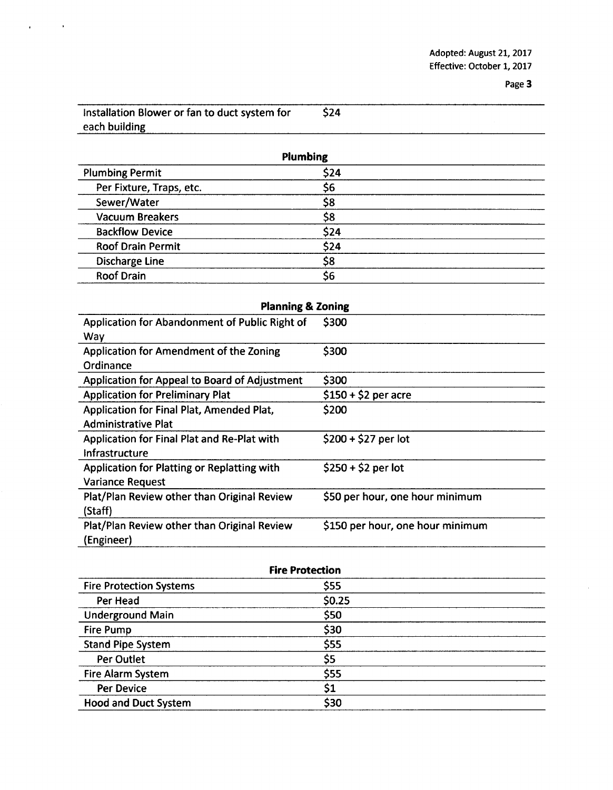| Installation Blower or fan to duct system for | <b>S24</b> |  |
|-----------------------------------------------|------------|--|
| each building                                 |            |  |

 $\ddot{\phantom{0}}$ 

| <b>Plumbing</b>          |      |  |
|--------------------------|------|--|
| <b>Plumbing Permit</b>   | \$24 |  |
| Per Fixture, Traps, etc. | \$6  |  |
| Sewer/Water              | \$8  |  |
| <b>Vacuum Breakers</b>   | \$8  |  |
| <b>Backflow Device</b>   | \$24 |  |
| <b>Roof Drain Permit</b> | \$24 |  |
| <b>Discharge Line</b>    | \$8  |  |
| <b>Roof Drain</b>        | \$6  |  |

| <b>Planning &amp; Zoning</b>                   |                                  |  |
|------------------------------------------------|----------------------------------|--|
| Application for Abandonment of Public Right of | \$300                            |  |
| Way                                            |                                  |  |
| Application for Amendment of the Zoning        | \$300                            |  |
| Ordinance                                      |                                  |  |
| Application for Appeal to Board of Adjustment  | \$300                            |  |
| <b>Application for Preliminary Plat</b>        | $$150 + $2$ per acre             |  |
| Application for Final Plat, Amended Plat,      | \$200                            |  |
| <b>Administrative Plat</b>                     |                                  |  |
| Application for Final Plat and Re-Plat with    | $$200 + $27$ per lot             |  |
| Infrastructure                                 |                                  |  |
| Application for Platting or Replatting with    | $$250 + $2$ per lot              |  |
| <b>Variance Request</b>                        |                                  |  |
| Plat/Plan Review other than Original Review    | \$50 per hour, one hour minimum  |  |
| (Staff)                                        |                                  |  |
| Plat/Plan Review other than Original Review    | \$150 per hour, one hour minimum |  |
| (Engineer)                                     |                                  |  |

| <b>Fire Protection</b>         |        |  |
|--------------------------------|--------|--|
| <b>Fire Protection Systems</b> | \$55   |  |
| Per Head                       | \$0.25 |  |
| <b>Underground Main</b>        | \$50   |  |
| <b>Fire Pump</b>               | \$30   |  |
| <b>Stand Pipe System</b>       | \$55   |  |
| Per Outlet                     | \$5    |  |
| <b>Fire Alarm System</b>       | \$55   |  |
| <b>Per Device</b>              | \$1    |  |
| <b>Hood and Duct System</b>    | \$30   |  |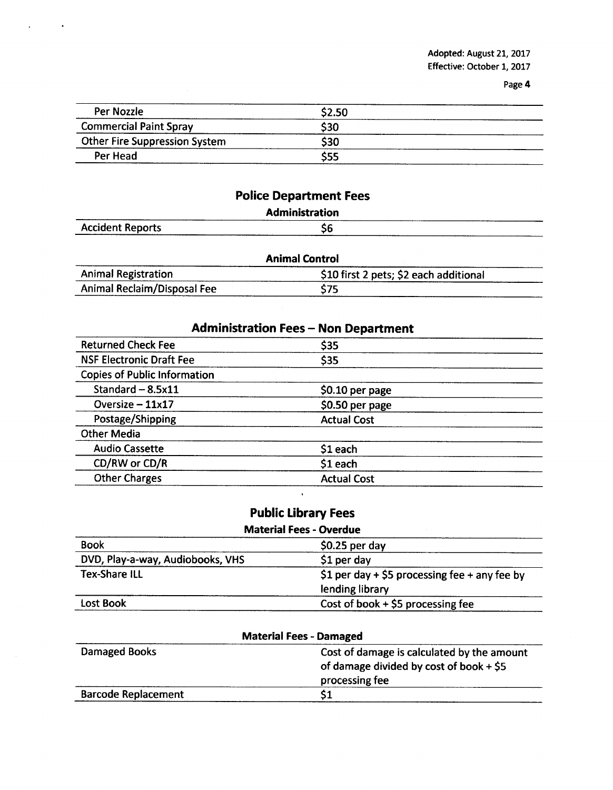| Per Nozzle                           | \$2.50 |  |
|--------------------------------------|--------|--|
| <b>Commercial Paint Spray</b>        | \$30   |  |
| <b>Other Fire Suppression System</b> | \$30   |  |
| Per Head                             | \$55   |  |

|  | <b>Police Department Fees</b> |
|--|-------------------------------|
|--|-------------------------------|

|                         | <b>Administration</b> |       |
|-------------------------|-----------------------|-------|
| <b>Accident Reports</b> | \$6                   | _____ |

| <b>Animal Control</b>       |                                        |  |
|-----------------------------|----------------------------------------|--|
| <b>Animal Registration</b>  | \$10 first 2 pets; \$2 each additional |  |
| Animal Reclaim/Disposal Fee | \$75                                   |  |

| <b>Administration Fees - Non Department</b> |                    |  |
|---------------------------------------------|--------------------|--|
| <b>Returned Check Fee</b>                   | \$35               |  |
| <b>NSF Electronic Draft Fee</b>             | \$35               |  |
| <b>Copies of Public Information</b>         |                    |  |
| Standard $-8.5x11$                          | $$0.10$ per page   |  |
| Oversize $-11x17$                           | \$0.50 per page    |  |
| Postage/Shipping                            | <b>Actual Cost</b> |  |
| <b>Other Media</b>                          |                    |  |
| <b>Audio Cassette</b>                       | $$1$ each          |  |
| CD/RW or CD/R                               | $$1$ each          |  |
| <b>Other Charges</b>                        | <b>Actual Cost</b> |  |
|                                             |                    |  |

| <b>Public Library Fees</b> |  |
|----------------------------|--|

| <b>Material Fees - Overdue</b>   |                                                                  |  |
|----------------------------------|------------------------------------------------------------------|--|
| <b>Book</b>                      | $$0.25$ per day                                                  |  |
| DVD, Play-a-way, Audiobooks, VHS | $$1$ per day                                                     |  |
| <b>Tex-Share ILL</b>             | \$1 per day + \$5 processing fee + any fee by<br>lending library |  |
| Lost Book                        | Cost of book $+$ \$5 processing fee                              |  |

| <b>Material Fees - Damaged</b> |                                            |  |
|--------------------------------|--------------------------------------------|--|
| Damaged Books                  | Cost of damage is calculated by the amount |  |
|                                | of damage divided by cost of book $+$ \$5  |  |
|                                | processing fee                             |  |
| <b>Barcode Replacement</b>     |                                            |  |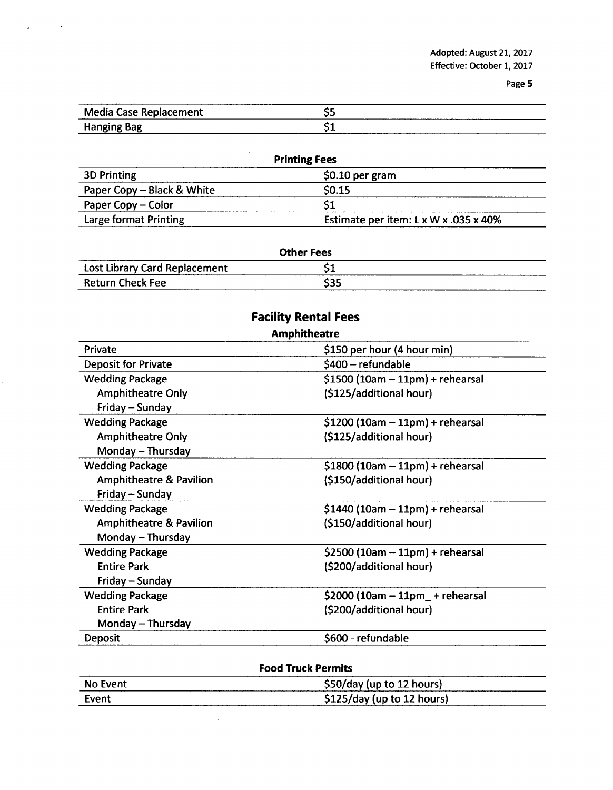| <b>Media Case Replacement</b> | - - |
|-------------------------------|-----|
| <b>Hanging Bag</b>            | - - |

 $\ddot{\phantom{1}}$ 

 $\mathbf{a}$ 

| <b>Printing Fees</b>       |                                       |  |
|----------------------------|---------------------------------------|--|
| <b>3D Printing</b>         | $$0.10$ per gram                      |  |
| Paper Copy - Black & White | \$0.15                                |  |
| Paper Copy – Color         |                                       |  |
| Large format Printing      | Estimate per item: L x W x .035 x 40% |  |

| <b>Other Fees</b>                    |      |  |  |
|--------------------------------------|------|--|--|
| <b>Lost Library Card Replacement</b> | JІ   |  |  |
| <b>Return Check Fee</b>              | \$35 |  |  |

# Facility Rental Fees

| <b>Amphitheatre</b>                |                                   |  |
|------------------------------------|-----------------------------------|--|
| Private                            | \$150 per hour (4 hour min)       |  |
| <b>Deposit for Private</b>         | \$400 – refundable                |  |
| <b>Wedding Package</b>             | $$1500 (10am - 11pm) +$ rehearsal |  |
| <b>Amphitheatre Only</b>           | (\$125/additional hour)           |  |
| Friday - Sunday                    |                                   |  |
| <b>Wedding Package</b>             | $$1200 (10am - 11pm) +$ rehearsal |  |
| <b>Amphitheatre Only</b>           | (\$125/additional hour)           |  |
| Monday - Thursday                  |                                   |  |
| <b>Wedding Package</b>             | $$1800 (10am - 11pm) +$ rehearsal |  |
| <b>Amphitheatre &amp; Pavilion</b> | (\$150/additional hour)           |  |
| Friday - Sunday                    |                                   |  |
| <b>Wedding Package</b>             | $$1440 (10am - 11pm) + rehearsal$ |  |
| <b>Amphitheatre &amp; Pavilion</b> | (\$150/additional hour)           |  |
| Monday - Thursday                  |                                   |  |
| <b>Wedding Package</b>             | $$2500 (10am - 11pm) + rehearsal$ |  |
| <b>Entire Park</b>                 | (\$200/additional hour)           |  |
| Friday - Sunday                    |                                   |  |
| <b>Wedding Package</b>             | $$2000 (10am - 11pm$ + rehearsal  |  |
| <b>Entire Park</b>                 | (\$200/additional hour)           |  |
| Monday – Thursday                  |                                   |  |
| <b>Deposit</b>                     | \$600 - refundable                |  |
|                                    |                                   |  |

| <b>Food Truck Permits</b> |                             |  |
|---------------------------|-----------------------------|--|
| No Event                  | \$50/day (up to 12 hours)   |  |
| Event                     | $$125/day$ (up to 12 hours) |  |

 $\mathcal{A}^{\mathcal{A}}$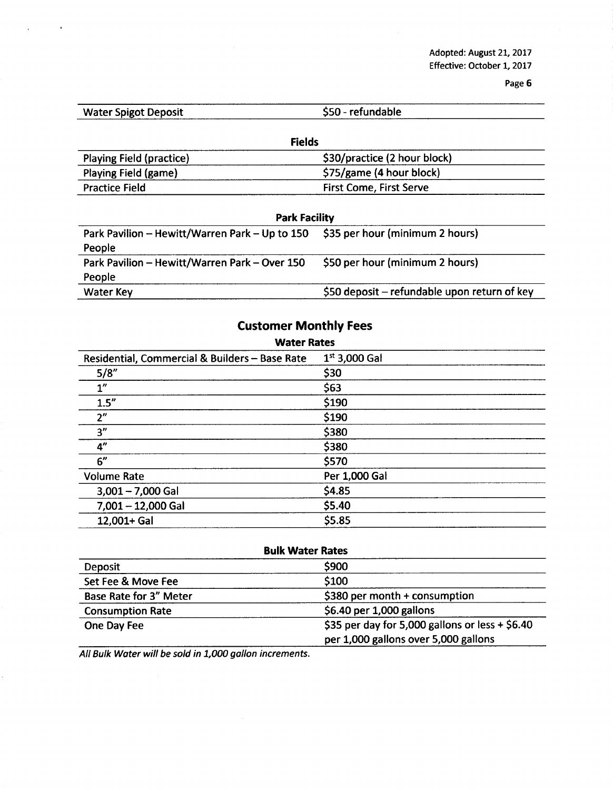Adopted: August 21, 2017 Effective: October 1, 2017

Page 6

| <b>Water Spigot Deposit</b>     | \$50 - refundable              |  |  |  |
|---------------------------------|--------------------------------|--|--|--|
| <b>Fields</b>                   |                                |  |  |  |
| <b>Playing Field (practice)</b> | \$30/practice (2 hour block)   |  |  |  |
| Playing Field (game)            | \$75/game (4 hour block)       |  |  |  |
| <b>Practice Field</b>           | <b>First Come, First Serve</b> |  |  |  |

| <b>Park Facility</b>                                                           |                                              |  |  |
|--------------------------------------------------------------------------------|----------------------------------------------|--|--|
| Park Pavilion - Hewitt/Warren Park - Up to 150 \$35 per hour (minimum 2 hours) |                                              |  |  |
| People                                                                         |                                              |  |  |
| Park Pavilion - Hewitt/Warren Park - Over 150                                  | \$50 per hour (minimum 2 hours)              |  |  |
| People                                                                         |                                              |  |  |
| <b>Water Key</b>                                                               | \$50 deposit – refundable upon return of key |  |  |

| Castolitel Internity I CCS                                           |  |  |  |  |
|----------------------------------------------------------------------|--|--|--|--|
| <b>Water Rates</b>                                                   |  |  |  |  |
| $1^{st}$ 3,000 Gal<br>Residential, Commercial & Builders - Base Rate |  |  |  |  |
| \$30                                                                 |  |  |  |  |
| \$63                                                                 |  |  |  |  |
| \$190                                                                |  |  |  |  |
| \$190                                                                |  |  |  |  |
| \$380                                                                |  |  |  |  |
| \$380                                                                |  |  |  |  |
| \$570                                                                |  |  |  |  |
| Per 1,000 Gal                                                        |  |  |  |  |
| \$4.85                                                               |  |  |  |  |
| \$5.40                                                               |  |  |  |  |
| \$5.85                                                               |  |  |  |  |
|                                                                      |  |  |  |  |

| <b>Bulk Water Rates</b>       |                                                   |  |
|-------------------------------|---------------------------------------------------|--|
| Deposit                       | \$900                                             |  |
| Set Fee & Move Fee            | \$100                                             |  |
| <b>Base Rate for 3" Meter</b> | \$380 per month $+$ consumption                   |  |
| <b>Consumption Rate</b>       | \$6.40 per 1,000 gallons                          |  |
| One Day Fee                   | \$35 per day for 5,000 gallons or less $+$ \$6.40 |  |
|                               | per 1,000 gallons over 5,000 gallons              |  |

All Bulk Water will be sold in 1,000 gallon increments.

## Customer Monthly Fees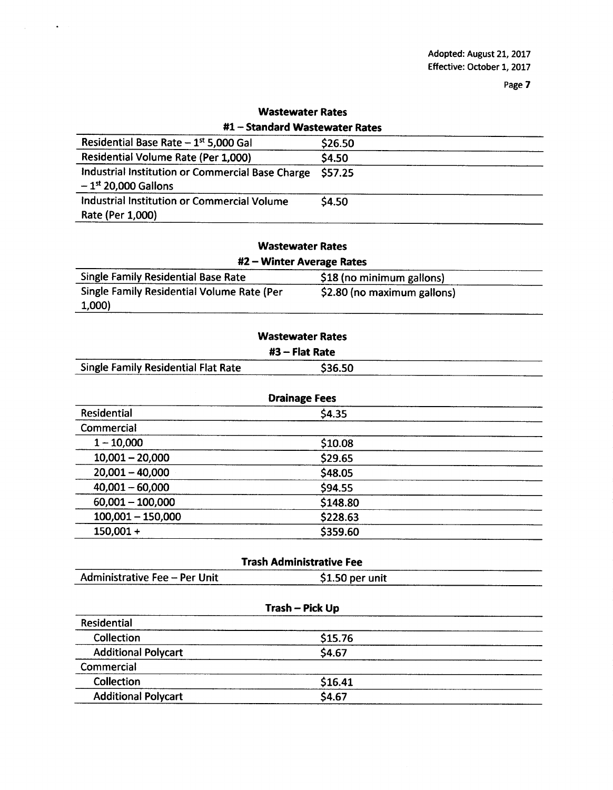| WASLEWALEI NALES                                                                      |               |  |  |  |
|---------------------------------------------------------------------------------------|---------------|--|--|--|
| #1 - Standard Wastewater Rates                                                        |               |  |  |  |
| Residential Base Rate $-1^{st}$ 5,000 Gal                                             | \$26.50       |  |  |  |
| Residential Volume Rate (Per 1,000)                                                   | \$4.50        |  |  |  |
| Industrial Institution or Commercial Base Charge<br>$-1$ <sup>st</sup> 20,000 Gallons | <b>S57.25</b> |  |  |  |
| Industrial Institution or Commercial Volume<br>Rate (Per 1,000)                       | \$4.50        |  |  |  |

# Wastewater Rates

 $\hat{\bullet}$ 

| <b>Wastewater Rates</b> |  |
|-------------------------|--|
|-------------------------|--|

| #2 – Winter Average Rates                  |                             |  |  |
|--------------------------------------------|-----------------------------|--|--|
| <b>Single Family Residential Base Rate</b> | \$18 (no minimum gallons)   |  |  |
| Single Family Residential Volume Rate (Per | \$2.80 (no maximum gallons) |  |  |
| 1,000)                                     |                             |  |  |

| <b>Wastewater Rates</b>                    |         |  |  |
|--------------------------------------------|---------|--|--|
| $#3$ – Flat Rate                           |         |  |  |
| <b>Single Family Residential Flat Rate</b> | \$36.50 |  |  |

| <b>Drainage Fees</b> |          |  |
|----------------------|----------|--|
| Residential          | \$4.35   |  |
| Commercial           |          |  |
| $1 - 10,000$         | \$10.08  |  |
| $10,001 - 20,000$    | \$29.65  |  |
| $20,001 - 40,000$    | \$48.05  |  |
| $40,001 - 60,000$    | \$94.55  |  |
| $60,001 - 100,000$   | \$148.80 |  |
| $100,001 - 150,000$  | \$228.63 |  |
| $150,001 +$          | \$359.60 |  |

| <b>Trash Administrative Fee</b> |                 |  |  |
|---------------------------------|-----------------|--|--|
| Administrative Fee - Per Unit   | \$1.50 per unit |  |  |
|                                 |                 |  |  |

| \$15.76 |
|---------|
|         |
|         |
| \$4.67  |
|         |
| \$16.41 |
| \$4.67  |
|         |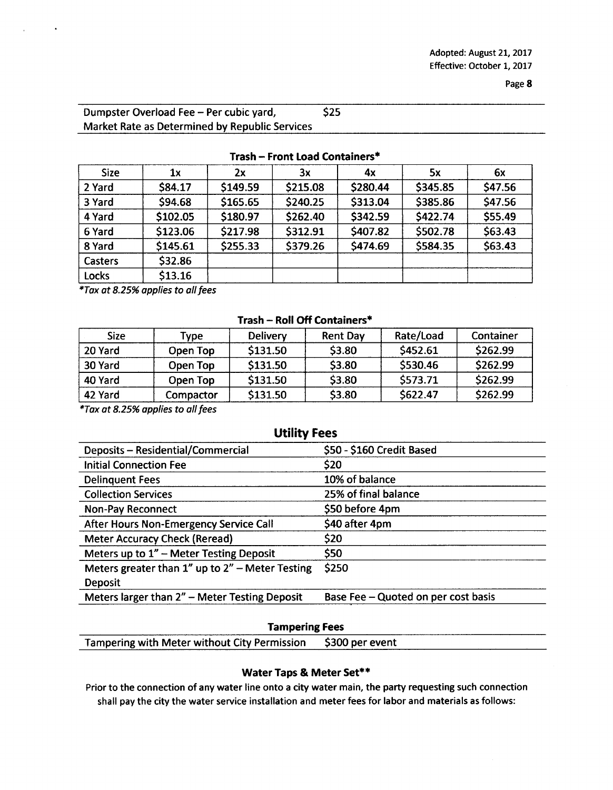| Dumpster Overload Fee - Per cubic yard,        | \$25 |
|------------------------------------------------|------|
| Market Rate as Determined by Republic Services |      |

| <b>Size</b>    | 1х       | 2x       | 3x       | 4х       | 5х       | 6x      |
|----------------|----------|----------|----------|----------|----------|---------|
| 2 Yard         | \$84.17  | \$149.59 | \$215.08 | \$280.44 | \$345.85 | \$47.56 |
| 3 Yard         | \$94.68  | \$165.65 | \$240.25 | \$313.04 | \$385.86 | \$47.56 |
| 4 Yard         | \$102.05 | \$180.97 | \$262.40 | \$342.59 | \$422.74 | \$55.49 |
| 6 Yard         | \$123.06 | \$217.98 | \$312.91 | \$407.82 | \$502.78 | \$63.43 |
| 8 Yard         | \$145.61 | \$255.33 | \$379.26 | \$474.69 | \$584.35 | \$63.43 |
| <b>Casters</b> | \$32.86  |          |          |          |          |         |
| Locks          | \$13.16  |          |          |          |          |         |

### Trash- Front Load Containers\*

\*Tax at 8.25% applies to all fees

#### Trash- Roll Off Containers\*

| <b>Size</b> | <b>Type</b> | Delivery | <b>Rent Day</b> | Rate/Load | Container |
|-------------|-------------|----------|-----------------|-----------|-----------|
| 20 Yard     | Open Top    | \$131.50 | \$3.80          | \$452.61  | \$262.99  |
| 30 Yard     | Open Top    | \$131.50 | \$3.80          | \$530.46  | \$262.99  |
| 40 Yard     | Open Top    | \$131.50 | \$3.80          | \$573.71  | \$262.99  |
| 42 Yard     | Compactor   | \$131.50 | \$3.80          | \$622.47  | \$262.99  |

\*Tax at 8.25% applies to all fees

### Utility Fees

| Deposits - Residential/Commercial                     | \$50 - \$160 Credit Based           |
|-------------------------------------------------------|-------------------------------------|
| <b>Initial Connection Fee</b>                         | \$20                                |
| <b>Delinquent Fees</b>                                | 10% of balance                      |
| <b>Collection Services</b>                            | 25% of final balance                |
| <b>Non-Pay Reconnect</b>                              | \$50 before 4pm                     |
| After Hours Non-Emergency Service Call                | \$40 after 4pm                      |
| <b>Meter Accuracy Check (Reread)</b>                  | \$20                                |
| Meters up to 1" - Meter Testing Deposit               | \$50                                |
| Meters greater than $1''$ up to $2''$ – Meter Testing | \$250                               |
| <b>Deposit</b>                                        |                                     |
| Meters larger than 2" - Meter Testing Deposit         | Base Fee - Quoted on per cost basis |
|                                                       |                                     |

### Tampering Fees

Tampering with Meter without City Permission \$ 300 per event

### Water Taps& Meter Set\*\*

Prior to the connection of any water line onto <sup>a</sup> city water main, the party requesting such connection shall pay the city the water service installation and meter fees for labor and materials as follows: